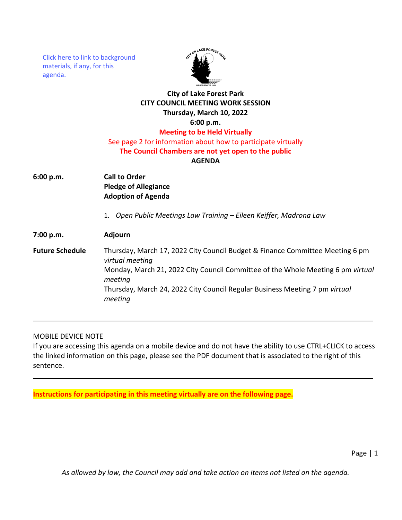[Click here to link to background](https://media.avcaptureall.cloud/meeting/81bef8ad-b0c1-49b7-be34-d7bd842f5109) materials, if any, for this agenda.



## **City of Lake Forest Park CITY COUNCIL MEETING WORK SESSION Thursday, March 10, 2022 6:00 p.m. Meeting to be Held Virtually**

# See page 2 for information about how to participate virtually

### **The Council Chambers are not yet open to the public**

#### **AGENDA**

- **6:00 p.m. Call to Order Pledge of Allegiance Adoption of Agenda**
	- 1. *Open Public Meetings Law Training Eileen Keiffer, Madrona Law*

# **7:00 p.m. Adjourn**

**Future Schedule** Thursday, March 17, 2022 City Council Budget & Finance Committee Meeting 6 pm *virtual meeting* Monday, March 21, 2022 City Council Committee of the Whole Meeting 6 pm *virtual meeting* Thursday, March 24, 2022 City Council Regular Business Meeting 7 pm *virtual meeting*

### MOBILE DEVICE NOTE

If you are accessing this agenda on a mobile device and do not have the ability to use CTRL+CLICK to access the linked information on this page, please see the PDF document that is associated to the right of this sentence.

**Instructions for participating in this meeting virtually are on the following page.**

*As allowed by law, the Council may add and take action on items not listed on the agenda.*